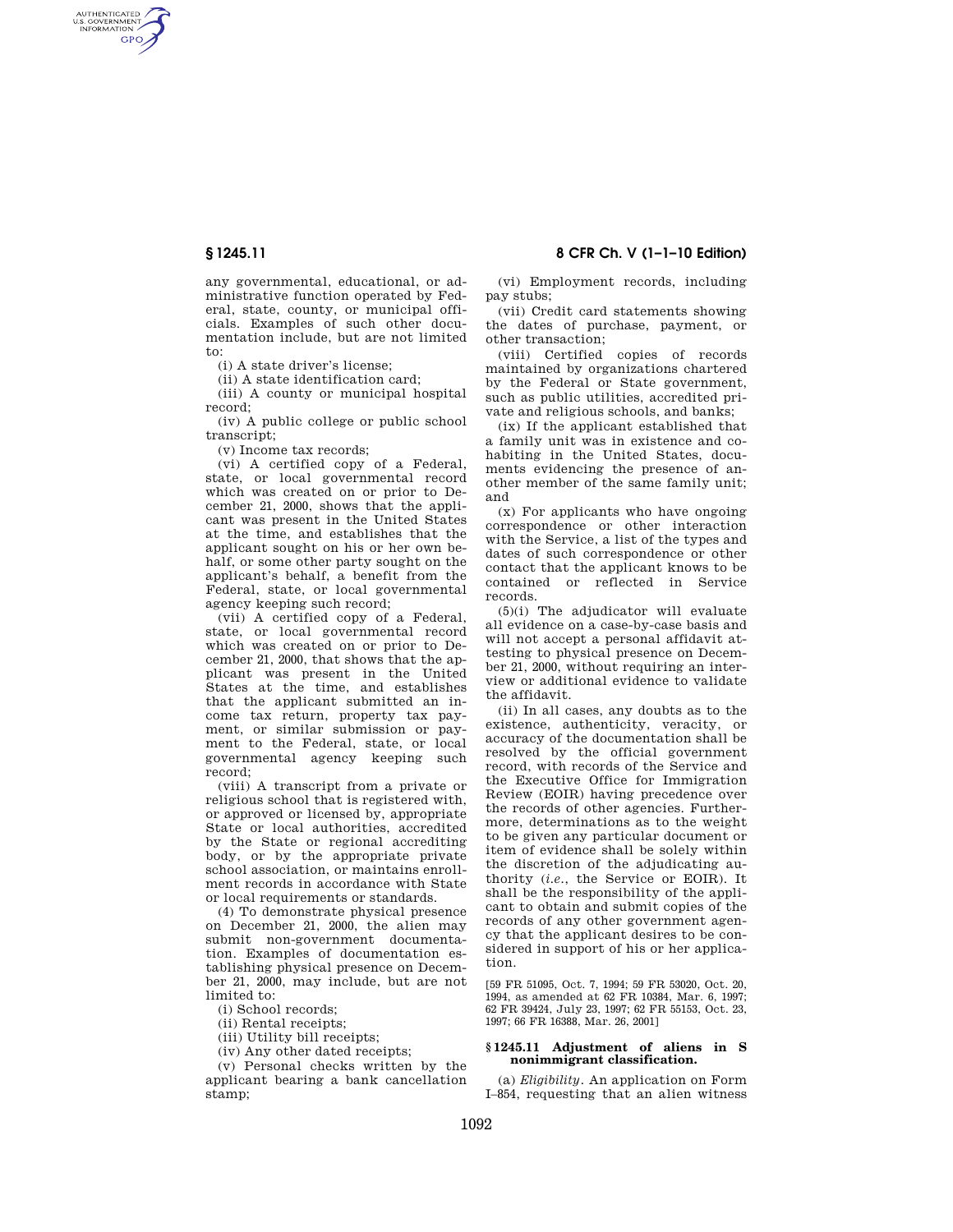AUTHENTICATED<br>U.S. GOVERNMENT<br>INFORMATION **GPO** 

> any governmental, educational, or administrative function operated by Federal, state, county, or municipal officials. Examples of such other documentation include, but are not limited to:

(i) A state driver's license;

(ii) A state identification card;

(iii) A county or municipal hospital record;

(iv) A public college or public school transcript;

(v) Income tax records;

(vi) A certified copy of a Federal, state, or local governmental record which was created on or prior to December 21, 2000, shows that the applicant was present in the United States at the time, and establishes that the applicant sought on his or her own behalf, or some other party sought on the applicant's behalf, a benefit from the Federal, state, or local governmental agency keeping such record;

(vii) A certified copy of a Federal, state, or local governmental record which was created on or prior to December 21, 2000, that shows that the applicant was present in the United States at the time, and establishes that the applicant submitted an income tax return, property tax payment, or similar submission or payment to the Federal, state, or local governmental agency keeping such record;

(viii) A transcript from a private or religious school that is registered with, or approved or licensed by, appropriate State or local authorities, accredited by the State or regional accrediting body, or by the appropriate private school association, or maintains enrollment records in accordance with State or local requirements or standards.

(4) To demonstrate physical presence on December 21, 2000, the alien may submit non-government documentation. Examples of documentation establishing physical presence on December 21, 2000, may include, but are not limited to:

(i) School records;

(ii) Rental receipts;

(iii) Utility bill receipts;

(iv) Any other dated receipts;

(v) Personal checks written by the applicant bearing a bank cancellation stamp;

**§ 1245.11 8 CFR Ch. V (1–1–10 Edition)** 

(vi) Employment records, including pay stubs;

(vii) Credit card statements showing the dates of purchase, payment, or other transaction;

(viii) Certified copies of records maintained by organizations chartered by the Federal or State government, such as public utilities, accredited private and religious schools, and banks;

(ix) If the applicant established that a family unit was in existence and cohabiting in the United States, documents evidencing the presence of another member of the same family unit; and

(x) For applicants who have ongoing correspondence or other interaction with the Service, a list of the types and dates of such correspondence or other contact that the applicant knows to be contained or reflected in Service records.

(5)(i) The adjudicator will evaluate all evidence on a case-by-case basis and will not accept a personal affidavit attesting to physical presence on December 21, 2000, without requiring an interview or additional evidence to validate the affidavit.

(ii) In all cases, any doubts as to the existence, authenticity, veracity, or accuracy of the documentation shall be resolved by the official government record, with records of the Service and the Executive Office for Immigration Review (EOIR) having precedence over the records of other agencies. Furthermore, determinations as to the weight to be given any particular document or item of evidence shall be solely within the discretion of the adjudicating authority (*i.e.*, the Service or EOIR). It shall be the responsibility of the applicant to obtain and submit copies of the records of any other government agency that the applicant desires to be considered in support of his or her application.

[59 FR 51095, Oct. 7, 1994; 59 FR 53020, Oct. 20, 1994, as amended at 62 FR 10384, Mar. 6, 1997; 62 FR 39424, July 23, 1997; 62 FR 55153, Oct. 23, 1997; 66 FR 16388, Mar. 26, 2001]

## **§ 1245.11 Adjustment of aliens in S nonimmigrant classification.**

(a) *Eligibility.* An application on Form I–854, requesting that an alien witness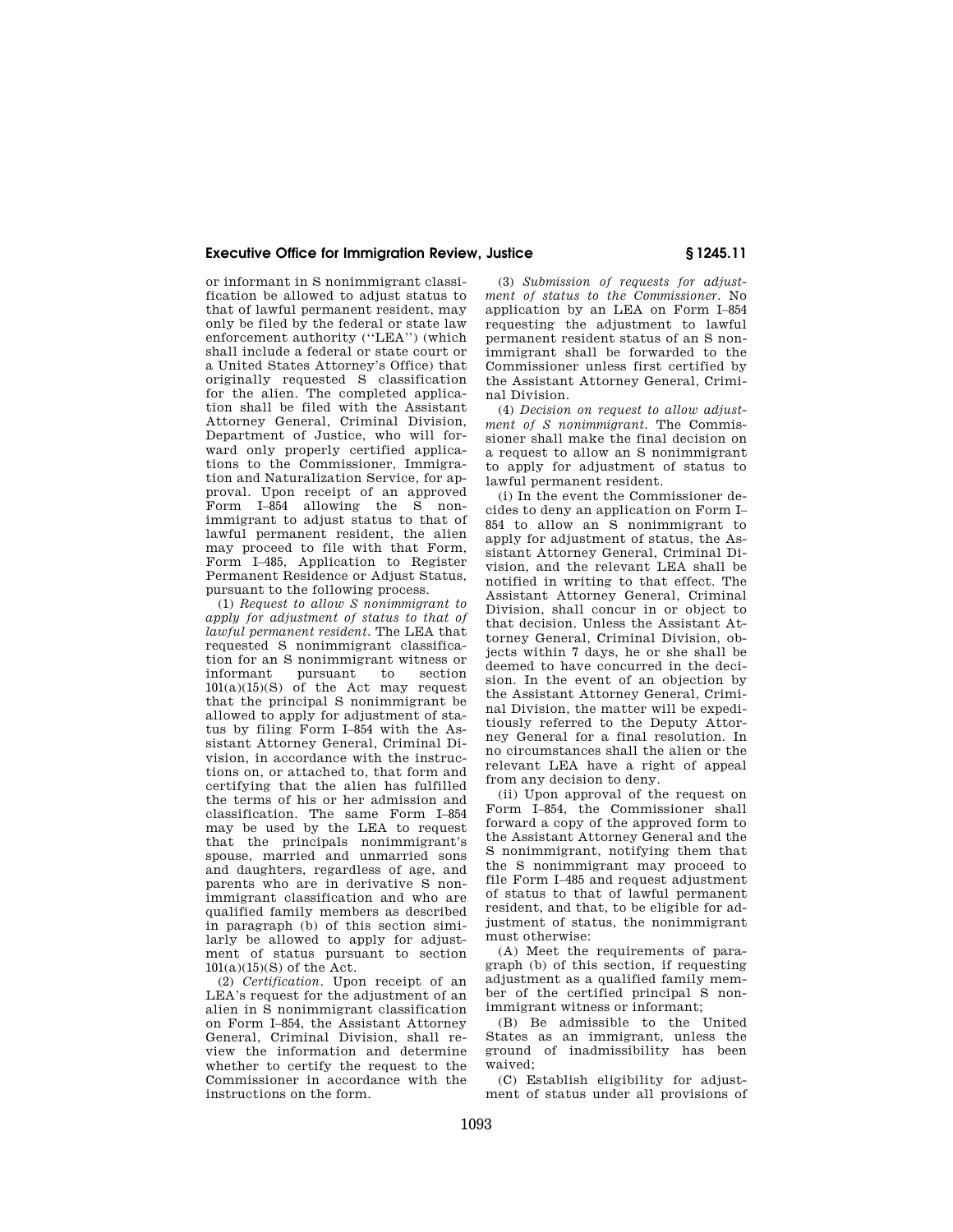## **Executive Office for Immigration Review, Justice § 1245.11**

or informant in S nonimmigrant classification be allowed to adjust status to that of lawful permanent resident, may only be filed by the federal or state law enforcement authority (''LEA'') (which shall include a federal or state court or a United States Attorney's Office) that originally requested S classification for the alien. The completed application shall be filed with the Assistant Attorney General, Criminal Division, Department of Justice, who will forward only properly certified applications to the Commissioner, Immigration and Naturalization Service, for approval. Upon receipt of an approved Form I–854 allowing the S nonimmigrant to adjust status to that of lawful permanent resident, the alien may proceed to file with that Form, Form I–485, Application to Register Permanent Residence or Adjust Status, pursuant to the following process.

(1) *Request to allow S nonimmigrant to apply for adjustment of status to that of lawful permanent resident.* The LEA that requested S nonimmigrant classification for an S nonimmigrant witness or pursuant  $101(a)(15)(S)$  of the Act may request that the principal S nonimmigrant be allowed to apply for adjustment of status by filing Form I–854 with the Assistant Attorney General, Criminal Division, in accordance with the instructions on, or attached to, that form and certifying that the alien has fulfilled the terms of his or her admission and classification. The same Form I–854 may be used by the LEA to request that the principals nonimmigrant's spouse, married and unmarried sons and daughters, regardless of age, and parents who are in derivative S nonimmigrant classification and who are qualified family members as described in paragraph (b) of this section similarly be allowed to apply for adjustment of status pursuant to section  $101(a)(15)(S)$  of the Act.

(2) *Certification.* Upon receipt of an LEA's request for the adjustment of an alien in S nonimmigrant classification on Form I–854, the Assistant Attorney General, Criminal Division, shall review the information and determine whether to certify the request to the Commissioner in accordance with the instructions on the form.

(3) *Submission of requests for adjustment of status to the Commissioner.* No application by an LEA on Form I–854 requesting the adjustment to lawful permanent resident status of an S nonimmigrant shall be forwarded to the Commissioner unless first certified by the Assistant Attorney General, Criminal Division.

(4) *Decision on request to allow adjustment of S nonimmigrant.* The Commissioner shall make the final decision on a request to allow an S nonimmigrant to apply for adjustment of status to lawful permanent resident.

(i) In the event the Commissioner decides to deny an application on Form I– 854 to allow an S nonimmigrant to apply for adjustment of status, the Assistant Attorney General, Criminal Division, and the relevant LEA shall be notified in writing to that effect. The Assistant Attorney General, Criminal Division, shall concur in or object to that decision. Unless the Assistant Attorney General, Criminal Division, objects within 7 days, he or she shall be deemed to have concurred in the decision. In the event of an objection by the Assistant Attorney General, Criminal Division, the matter will be expeditiously referred to the Deputy Attorney General for a final resolution. In no circumstances shall the alien or the relevant LEA have a right of appeal from any decision to deny.

(ii) Upon approval of the request on Form I–854, the Commissioner shall forward a copy of the approved form to the Assistant Attorney General and the S nonimmigrant, notifying them that the S nonimmigrant may proceed to file Form I–485 and request adjustment of status to that of lawful permanent resident, and that, to be eligible for adjustment of status, the nonimmigrant must otherwise:

(A) Meet the requirements of paragraph (b) of this section, if requesting adjustment as a qualified family member of the certified principal S nonimmigrant witness or informant;

(B) Be admissible to the United States as an immigrant, unless the ground of inadmissibility has been waived;

(C) Establish eligibility for adjustment of status under all provisions of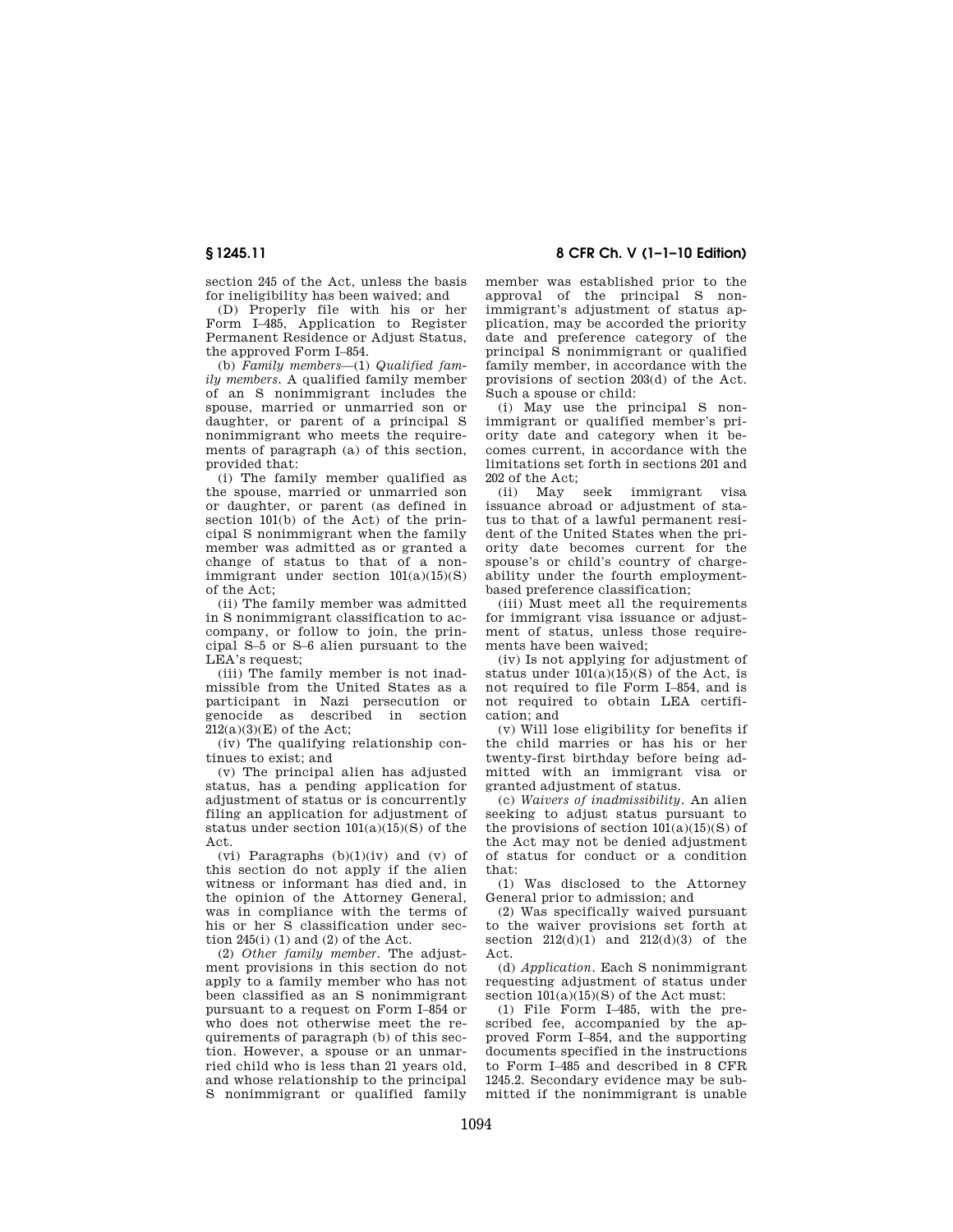section 245 of the Act, unless the basis for ineligibility has been waived; and

(D) Properly file with his or her Form I–485, Application to Register Permanent Residence or Adjust Status, the approved Form I–854.

(b) *Family members*—(1) *Qualified family members.* A qualified family member of an S nonimmigrant includes the spouse, married or unmarried son or daughter, or parent of a principal S nonimmigrant who meets the requirements of paragraph (a) of this section, provided that:

(i) The family member qualified as the spouse, married or unmarried son or daughter, or parent (as defined in section 101(b) of the Act) of the principal S nonimmigrant when the family member was admitted as or granted a change of status to that of a nonimmigrant under section  $101(a)(15)(S)$ of the Act;

(ii) The family member was admitted in S nonimmigrant classification to accompany, or follow to join, the principal S–5 or S–6 alien pursuant to the LEA's request;

(iii) The family member is not inadmissible from the United States as a participant in Nazi persecution or genocide as described in section  $212(a)(3)(E)$  of the Act;

(iv) The qualifying relationship continues to exist; and

(v) The principal alien has adjusted status, has a pending application for adjustment of status or is concurrently filing an application for adjustment of status under section 101(a)(15)(S) of the Act.

(vi) Paragraphs  $(b)(1)(iv)$  and  $(v)$  of this section do not apply if the alien witness or informant has died and, in the opinion of the Attorney General, was in compliance with the terms of his or her  $\dot{S}$  classification under section  $245(i)$  (1) and (2) of the Act.

(2) *Other family member.* The adjustment provisions in this section do not apply to a family member who has not been classified as an S nonimmigrant pursuant to a request on Form I–854 or who does not otherwise meet the requirements of paragraph (b) of this section. However, a spouse or an unmarried child who is less than 21 years old, and whose relationship to the principal S nonimmigrant or qualified family

## **§ 1245.11 8 CFR Ch. V (1–1–10 Edition)**

member was established prior to the approval of the principal S nonimmigrant's adjustment of status application, may be accorded the priority date and preference category of the principal S nonimmigrant or qualified family member, in accordance with the provisions of section 203(d) of the Act. Such a spouse or child:

(i) May use the principal S nonimmigrant or qualified member's priority date and category when it becomes current, in accordance with the limitations set forth in sections 201 and 202 of the Act;

(ii) May seek immigrant visa issuance abroad or adjustment of status to that of a lawful permanent resident of the United States when the priority date becomes current for the spouse's or child's country of chargeability under the fourth employmentbased preference classification;

(iii) Must meet all the requirements for immigrant visa issuance or adjustment of status, unless those requirements have been waived;

(iv) Is not applying for adjustment of status under  $101(a)(15)(S)$  of the Act, is not required to file Form I–854, and is not required to obtain LEA certification; and

(v) Will lose eligibility for benefits if the child marries or has his or her twenty-first birthday before being admitted with an immigrant visa or granted adjustment of status.

(c) *Waivers of inadmissibility.* An alien seeking to adjust status pursuant to the provisions of section  $101(a)(15)(S)$  of the Act may not be denied adjustment of status for conduct or a condition that:

(1) Was disclosed to the Attorney General prior to admission; and

(2) Was specifically waived pursuant to the waiver provisions set forth at section  $212(d)(1)$  and  $212(d)(3)$  of the Act.

(d) *Application.* Each S nonimmigrant requesting adjustment of status under section  $101(a)(15)(S)$  of the Act must:

(1) File Form I–485, with the prescribed fee, accompanied by the approved Form I–854, and the supporting documents specified in the instructions to Form I–485 and described in 8 CFR 1245.2. Secondary evidence may be submitted if the nonimmigrant is unable